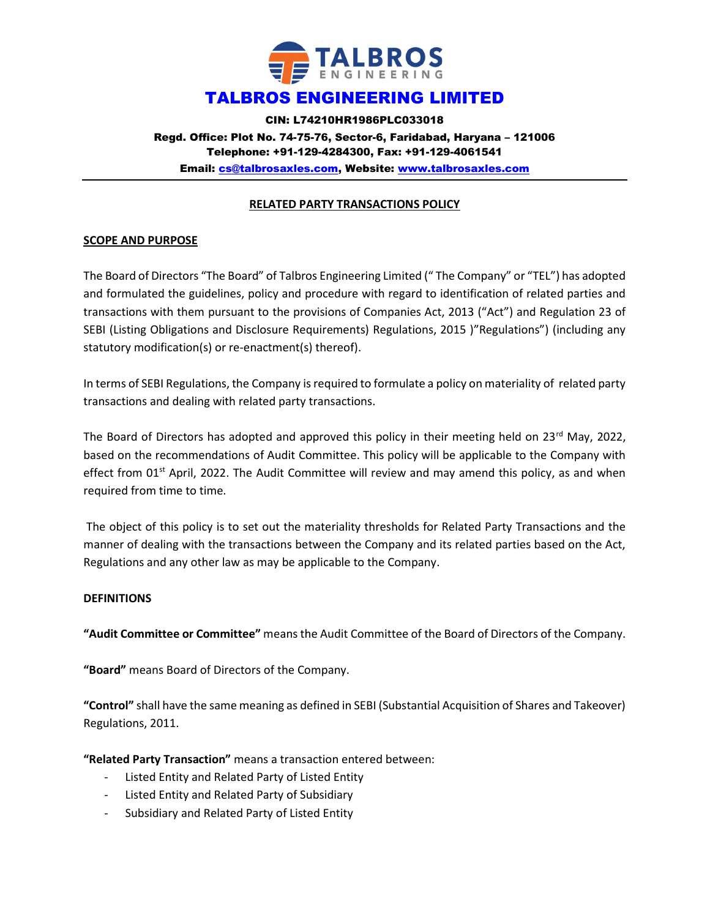

CIN: L74210HR1986PLC033018 Regd. Office: Plot No. 74-75-76, Sector-6, Faridabad, Haryana – 121006 Telephone: +91-129-4284300, Fax: +91-129-4061541 Email: cs@talbrosaxles.com, Website: www.talbrosaxles.com

#### RELATED PARTY TRANSACTIONS POLICY

### SCOPE AND PURPOSE

The Board of Directors "The Board" of Talbros Engineering Limited (" The Company" or "TEL") has adopted and formulated the guidelines, policy and procedure with regard to identification of related parties and transactions with them pursuant to the provisions of Companies Act, 2013 ("Act") and Regulation 23 of SEBI (Listing Obligations and Disclosure Requirements) Regulations, 2015 )"Regulations") (including any statutory modification(s) or re-enactment(s) thereof).

In terms of SEBI Regulations, the Company is required to formulate a policy on materiality of related party transactions and dealing with related party transactions.

The Board of Directors has adopted and approved this policy in their meeting held on 23rd May, 2022, based on the recommendations of Audit Committee. This policy will be applicable to the Company with effect from 01<sup>st</sup> April, 2022. The Audit Committee will review and may amend this policy, as and when required from time to time.

 The object of this policy is to set out the materiality thresholds for Related Party Transactions and the manner of dealing with the transactions between the Company and its related parties based on the Act, Regulations and any other law as may be applicable to the Company.

#### **DEFINITIONS**

"Audit Committee or Committee" means the Audit Committee of the Board of Directors of the Company.

"Board" means Board of Directors of the Company.

"Control" shall have the same meaning as defined in SEBI (Substantial Acquisition of Shares and Takeover) Regulations, 2011.

"Related Party Transaction" means a transaction entered between:

- Listed Entity and Related Party of Listed Entity
- Listed Entity and Related Party of Subsidiary
- Subsidiary and Related Party of Listed Entity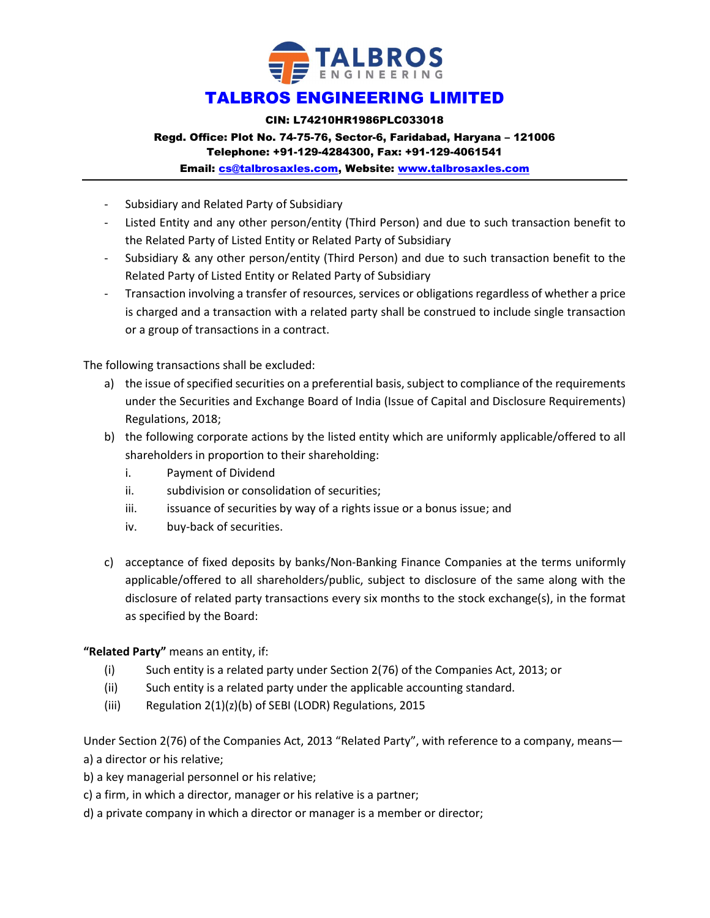

CIN: L74210HR1986PLC033018

# Regd. Office: Plot No. 74-75-76, Sector-6, Faridabad, Haryana – 121006

Telephone: +91-129-4284300, Fax: +91-129-4061541

Email: cs@talbrosaxles.com, Website: www.talbrosaxles.com

- Subsidiary and Related Party of Subsidiary
- Listed Entity and any other person/entity (Third Person) and due to such transaction benefit to the Related Party of Listed Entity or Related Party of Subsidiary
- Subsidiary & any other person/entity (Third Person) and due to such transaction benefit to the Related Party of Listed Entity or Related Party of Subsidiary
- Transaction involving a transfer of resources, services or obligations regardless of whether a price is charged and a transaction with a related party shall be construed to include single transaction or a group of transactions in a contract.

The following transactions shall be excluded:

- a) the issue of specified securities on a preferential basis, subject to compliance of the requirements under the Securities and Exchange Board of India (Issue of Capital and Disclosure Requirements) Regulations, 2018;
- b) the following corporate actions by the listed entity which are uniformly applicable/offered to all shareholders in proportion to their shareholding:
	- i. Payment of Dividend
	- ii. subdivision or consolidation of securities;
	- iii. iissuance of securities by way of a rights issue or a bonus issue; and
	- iv. buy-back of securities.
- c) acceptance of fixed deposits by banks/Non-Banking Finance Companies at the terms uniformly applicable/offered to all shareholders/public, subject to disclosure of the same along with the disclosure of related party transactions every six months to the stock exchange(s), in the format as specified by the Board:

### "Related Party" means an entity, if:

- (i) Such entity is a related party under Section 2(76) of the Companies Act, 2013; or
- (ii) Such entity is a related party under the applicable accounting standard.
- (iii) Regulation 2(1)(z)(b) of SEBI (LODR) Regulations, 2015

Under Section 2(76) of the Companies Act, 2013 "Related Party", with reference to a company, means a) a director or his relative;

- b) a key managerial personnel or his relative;
- c) a firm, in which a director, manager or his relative is a partner;
- d) a private company in which a director or manager is a member or director;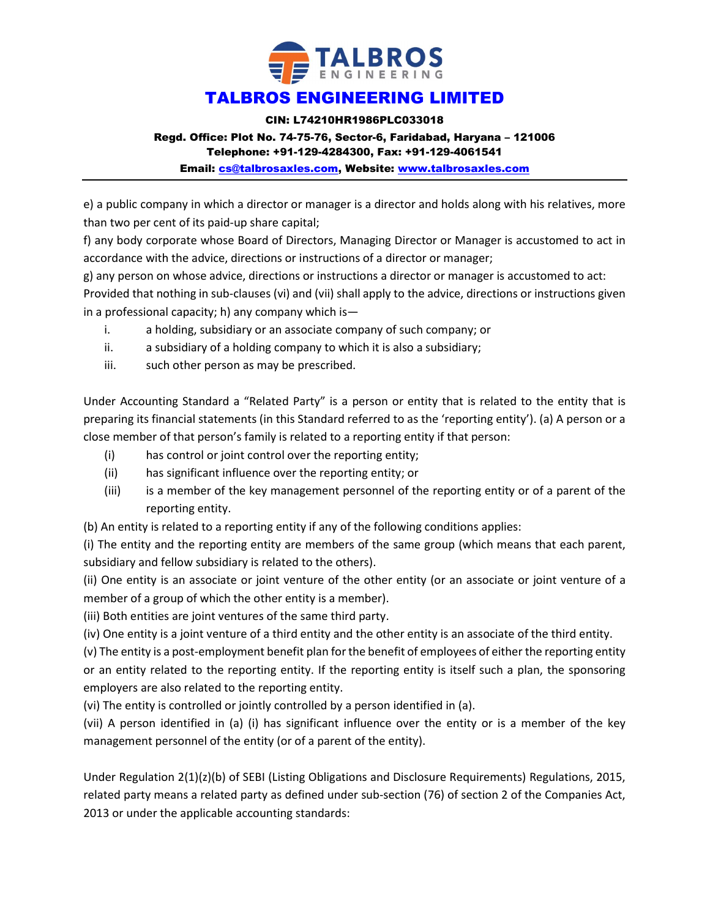

CIN: L74210HR1986PLC033018

### Regd. Office: Plot No. 74-75-76, Sector-6, Faridabad, Haryana – 121006

Telephone: +91-129-4284300, Fax: +91-129-4061541

Email: cs@talbrosaxles.com, Website: www.talbrosaxles.com

e) a public company in which a director or manager is a director and holds along with his relatives, more than two per cent of its paid-up share capital;

f) any body corporate whose Board of Directors, Managing Director or Manager is accustomed to act in accordance with the advice, directions or instructions of a director or manager;

g) any person on whose advice, directions or instructions a director or manager is accustomed to act:

Provided that nothing in sub-clauses (vi) and (vii) shall apply to the advice, directions or instructions given in a professional capacity; h) any company which is—

- i. a holding, subsidiary or an associate company of such company; or
- ii. a subsidiary of a holding company to which it is also a subsidiary;
- iii. such other person as may be prescribed.

Under Accounting Standard a "Related Party" is a person or entity that is related to the entity that is preparing its financial statements (in this Standard referred to as the 'reporting entity'). (a) A person or a close member of that person's family is related to a reporting entity if that person:

- (i) has control or joint control over the reporting entity;
- (ii) has significant influence over the reporting entity; or
- (iii) is a member of the key management personnel of the reporting entity or of a parent of the reporting entity.
- (b) An entity is related to a reporting entity if any of the following conditions applies:

(i) The entity and the reporting entity are members of the same group (which means that each parent, subsidiary and fellow subsidiary is related to the others).

(ii) One entity is an associate or joint venture of the other entity (or an associate or joint venture of a member of a group of which the other entity is a member).

(iii) Both entities are joint ventures of the same third party.

(iv) One entity is a joint venture of a third entity and the other entity is an associate of the third entity.

(v) The entity is a post-employment benefit plan for the benefit of employees of either the reporting entity or an entity related to the reporting entity. If the reporting entity is itself such a plan, the sponsoring employers are also related to the reporting entity.

(vi) The entity is controlled or jointly controlled by a person identified in (a).

(vii) A person identified in (a) (i) has significant influence over the entity or is a member of the key management personnel of the entity (or of a parent of the entity).

Under Regulation 2(1)(z)(b) of SEBI (Listing Obligations and Disclosure Requirements) Regulations, 2015, related party means a related party as defined under sub-section (76) of section 2 of the Companies Act, 2013 or under the applicable accounting standards: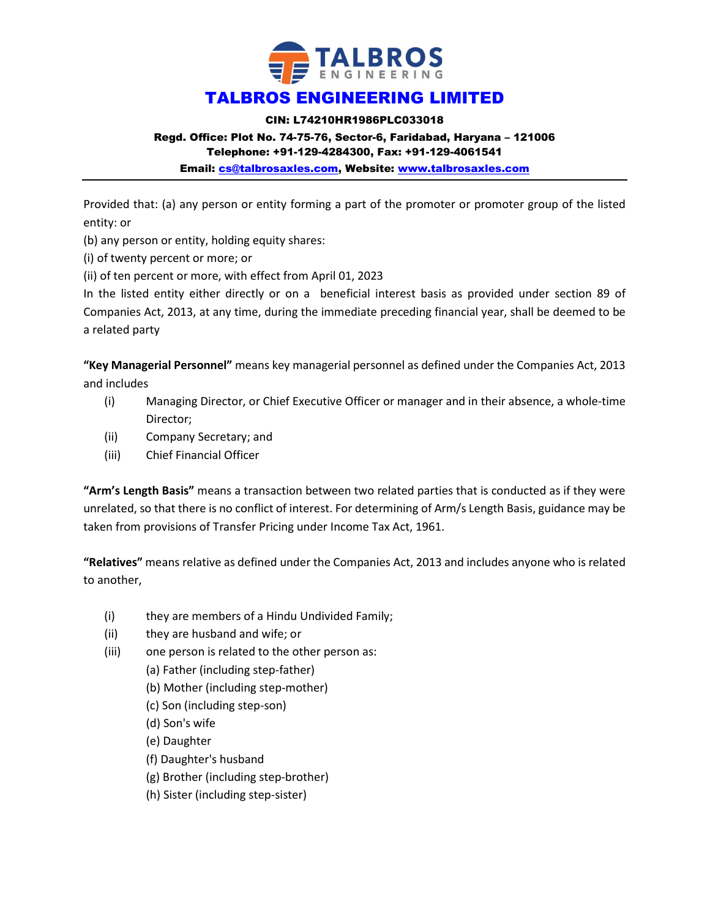

CIN: L74210HR1986PLC033018

### Regd. Office: Plot No. 74-75-76, Sector-6, Faridabad, Haryana – 121006

Telephone: +91-129-4284300, Fax: +91-129-4061541

Email: cs@talbrosaxles.com, Website: www.talbrosaxles.com

Provided that: (a) any person or entity forming a part of the promoter or promoter group of the listed entity: or

(b) any person or entity, holding equity shares:

(i) of twenty percent or more; or

(ii) of ten percent or more, with effect from April 01, 2023

In the listed entity either directly or on a beneficial interest basis as provided under section 89 of Companies Act, 2013, at any time, during the immediate preceding financial year, shall be deemed to be a related party

"Key Managerial Personnel" means key managerial personnel as defined under the Companies Act, 2013 and includes

- (i) Managing Director, or Chief Executive Officer or manager and in their absence, a whole-time Director;
- (ii) Company Secretary; and
- (iii) Chief Financial Officer

"Arm's Length Basis" means a transaction between two related parties that is conducted as if they were unrelated, so that there is no conflict of interest. For determining of Arm/s Length Basis, guidance may be taken from provisions of Transfer Pricing under Income Tax Act, 1961.

"Relatives" means relative as defined under the Companies Act, 2013 and includes anyone who is related to another,

- (i) they are members of a Hindu Undivided Family;
- (ii) they are husband and wife; or
- (iii) one person is related to the other person as:
	- (a) Father (including step-father)
	- (b) Mother (including step-mother)
	- (c) Son (including step-son)
	- (d) Son's wife
	- (e) Daughter
	- (f) Daughter's husband
	- (g) Brother (including step-brother)
	- (h) Sister (including step-sister)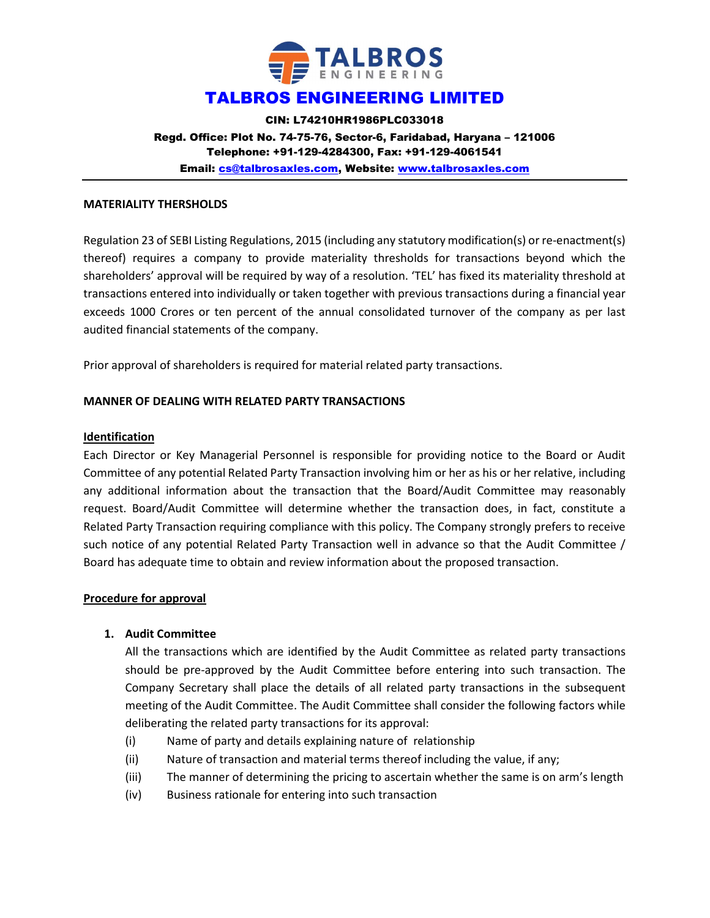

CIN: L74210HR1986PLC033018 Regd. Office: Plot No. 74-75-76, Sector-6, Faridabad, Haryana – 121006 Telephone: +91-129-4284300, Fax: +91-129-4061541 Email: cs@talbrosaxles.com, Website: www.talbrosaxles.com

#### MATERIALITY THERSHOLDS

Regulation 23 of SEBI Listing Regulations, 2015 (including any statutory modification(s) or re-enactment(s) thereof) requires a company to provide materiality thresholds for transactions beyond which the shareholders' approval will be required by way of a resolution. 'TEL' has fixed its materiality threshold at transactions entered into individually or taken together with previous transactions during a financial year exceeds 1000 Crores or ten percent of the annual consolidated turnover of the company as per last audited financial statements of the company.

Prior approval of shareholders is required for material related party transactions.

#### MANNER OF DEALING WITH RELATED PARTY TRANSACTIONS

#### Identification

Each Director or Key Managerial Personnel is responsible for providing notice to the Board or Audit Committee of any potential Related Party Transaction involving him or her as his or her relative, including any additional information about the transaction that the Board/Audit Committee may reasonably request. Board/Audit Committee will determine whether the transaction does, in fact, constitute a Related Party Transaction requiring compliance with this policy. The Company strongly prefers to receive such notice of any potential Related Party Transaction well in advance so that the Audit Committee / Board has adequate time to obtain and review information about the proposed transaction.

#### Procedure for approval

#### 1. Audit Committee

All the transactions which are identified by the Audit Committee as related party transactions should be pre-approved by the Audit Committee before entering into such transaction. The Company Secretary shall place the details of all related party transactions in the subsequent meeting of the Audit Committee. The Audit Committee shall consider the following factors while deliberating the related party transactions for its approval:

- (i) Name of party and details explaining nature of relationship
- (ii) Nature of transaction and material terms thereof including the value, if any;
- (iii) The manner of determining the pricing to ascertain whether the same is on arm's length
- (iv) Business rationale for entering into such transaction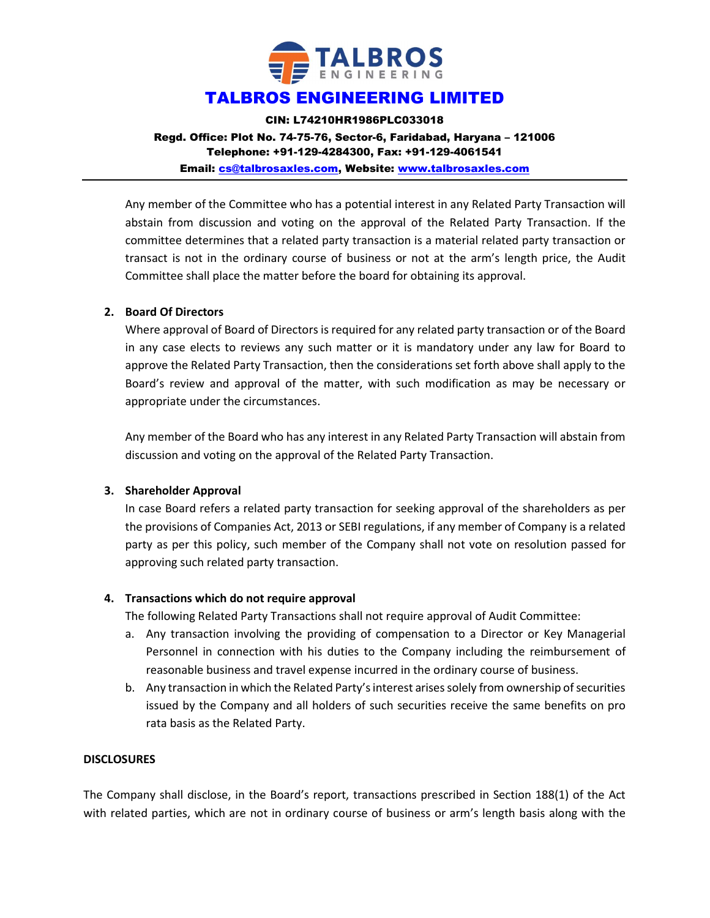

CIN: L74210HR1986PLC033018 Regd. Office: Plot No. 74-75-76, Sector-6, Faridabad, Haryana – 121006 Telephone: +91-129-4284300, Fax: +91-129-4061541 Email: cs@talbrosaxles.com, Website: www.talbrosaxles.com

Any member of the Committee who has a potential interest in any Related Party Transaction will abstain from discussion and voting on the approval of the Related Party Transaction. If the committee determines that a related party transaction is a material related party transaction or transact is not in the ordinary course of business or not at the arm's length price, the Audit Committee shall place the matter before the board for obtaining its approval.

### 2. Board Of Directors

Where approval of Board of Directors is required for any related party transaction or of the Board in any case elects to reviews any such matter or it is mandatory under any law for Board to approve the Related Party Transaction, then the considerations set forth above shall apply to the Board's review and approval of the matter, with such modification as may be necessary or appropriate under the circumstances.

Any member of the Board who has any interest in any Related Party Transaction will abstain from discussion and voting on the approval of the Related Party Transaction.

### 3. Shareholder Approval

In case Board refers a related party transaction for seeking approval of the shareholders as per the provisions of Companies Act, 2013 or SEBI regulations, if any member of Company is a related party as per this policy, such member of the Company shall not vote on resolution passed for approving such related party transaction.

#### 4. Transactions which do not require approval

The following Related Party Transactions shall not require approval of Audit Committee:

- a. Any transaction involving the providing of compensation to a Director or Key Managerial Personnel in connection with his duties to the Company including the reimbursement of reasonable business and travel expense incurred in the ordinary course of business.
- b. Any transaction in which the Related Party's interest arises solely from ownership of securities issued by the Company and all holders of such securities receive the same benefits on pro rata basis as the Related Party.

#### **DISCLOSURES**

The Company shall disclose, in the Board's report, transactions prescribed in Section 188(1) of the Act with related parties, which are not in ordinary course of business or arm's length basis along with the